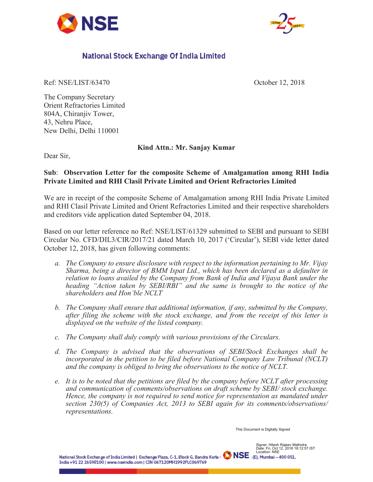



## National Stock Exchange Of India Limited

Ref: NSE/LIST/63470 October 12, 2018

The Company Secretary Orient Refractories Limited 804A, Chiranjiv Tower, 43, Nehru Place, New Delhi, Delhi 110001

## **Kind Attn.: Mr. Sanjay Kumar**

Dear Sir,

## **Sub**: **Observation Letter for the composite Scheme of Amalgamation among RHI India Private Limited and RHI Clasil Private Limited and Orient Refractories Limited**

We are in receipt of the composite Scheme of Amalgamation among RHI India Private Limited and RHI Clasil Private Limited and Orient Refractories Limited and their respective shareholders and creditors vide application dated September 04, 2018.

Based on our letter reference no Ref: NSE/LIST/61329 submitted to SEBI and pursuant to SEBI Circular No. CFD/DIL3/CIR/2017/21 dated March 10, 2017 ('Circular'), SEBI vide letter dated October 12, 2018, has given following comments:

- *a. The Company to ensure disclosure with respect to the information pertaining to Mr. Vijay Sharma, being a director of BMM Ispat Ltd., which has been declared as a defaulter in relation to loans availed by the Company from Bank of India and Vijaya Bank under the heading "Action taken by SEBI/RBI" and the same is brought to the notice of the shareholders and Hon'ble NCLT*
- *b. The Company shall ensure that additional information, if any, submitted by the Company, after filing the scheme with the stock exchange, and from the receipt of this letter is displayed on the website of the listed company.*
- *c. The Company shall duly comply with various provisions of the Circulars.*
- *d. The Company is advised that the observations of SEBI/Stock Exchanges shall be incorporated in the petition to be filed before National Company Law Tribunal (NCLT) and the company is obliged to bring the observations to the notice of NCLT.*
- *e. It is to be noted that the petitions are filed by the company before NCLT after processing and communication of comments/observations on draft scheme by SEBI/ stock exchange. Hence, the company is not required to send notice for representation as mandated under section 230(5) of Companies Act, 2013 to SEBI again for its comments/observations/ representations.*

This Document is Digitally Signed